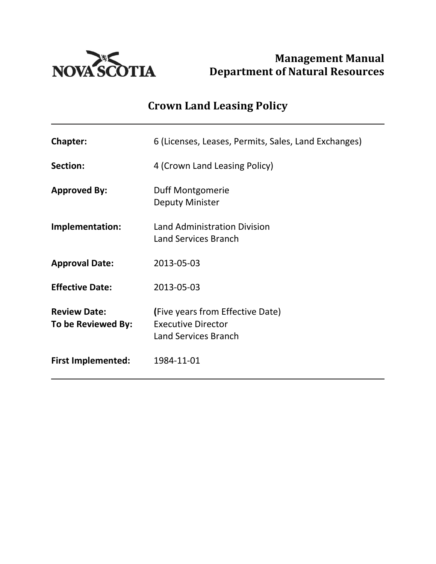

Management Manual<br> **NOVA SCOTIA** Department of Natural Resources Department of Natural Resources

# Crown Land Leasing Policy

| <b>Chapter:</b>                           | 6 (Licenses, Leases, Permits, Sales, Land Exchanges)                                         |
|-------------------------------------------|----------------------------------------------------------------------------------------------|
| Section:                                  | 4 (Crown Land Leasing Policy)                                                                |
| <b>Approved By:</b>                       | Duff Montgomerie<br><b>Deputy Minister</b>                                                   |
| Implementation:                           | <b>Land Administration Division</b><br><b>Land Services Branch</b>                           |
| <b>Approval Date:</b>                     | 2013-05-03                                                                                   |
| <b>Effective Date:</b>                    | 2013-05-03                                                                                   |
| <b>Review Date:</b><br>To be Reviewed By: | (Five years from Effective Date)<br><b>Executive Director</b><br><b>Land Services Branch</b> |
| <b>First Implemented:</b>                 | 1984-11-01                                                                                   |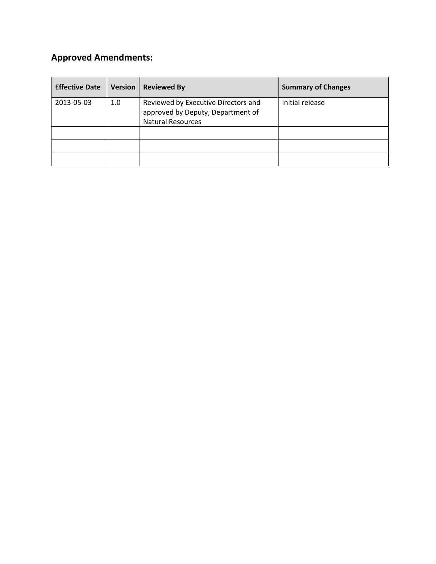# Approved Amendments:

| <b>Effective Date</b> | Version | <b>Reviewed By</b>                                                                                   | <b>Summary of Changes</b> |
|-----------------------|---------|------------------------------------------------------------------------------------------------------|---------------------------|
| 2013-05-03            | 1.0     | Reviewed by Executive Directors and<br>approved by Deputy, Department of<br><b>Natural Resources</b> | Initial release           |
|                       |         |                                                                                                      |                           |
|                       |         |                                                                                                      |                           |
|                       |         |                                                                                                      |                           |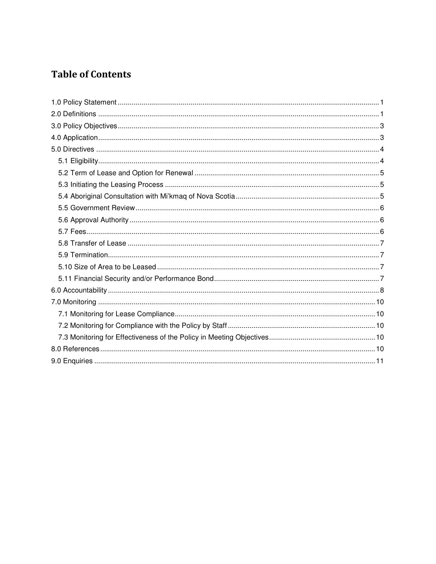# **Table of Contents**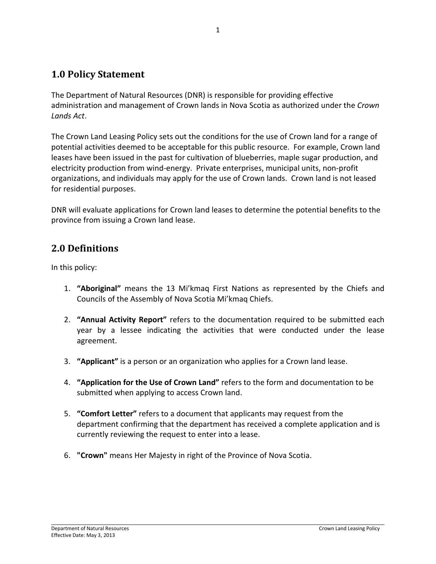# 1.0 Policy Statement

The Department of Natural Resources (DNR) is responsible for providing effective administration and management of Crown lands in Nova Scotia as authorized under the Crown Lands Act.

The Crown Land Leasing Policy sets out the conditions for the use of Crown land for a range of potential activities deemed to be acceptable for this public resource. For example, Crown land leases have been issued in the past for cultivation of blueberries, maple sugar production, and electricity production from wind-energy. Private enterprises, municipal units, non-profit organizations, and individuals may apply for the use of Crown lands. Crown land is not leased for residential purposes.

DNR will evaluate applications for Crown land leases to determine the potential benefits to the province from issuing a Crown land lease.

# 2.0 Definitions

In this policy:

- 1. "Aboriginal" means the 13 Mi'kmaq First Nations as represented by the Chiefs and Councils of the Assembly of Nova Scotia Mi'kmaq Chiefs.
- 2. "Annual Activity Report" refers to the documentation required to be submitted each year by a lessee indicating the activities that were conducted under the lease agreement.
- 3. "Applicant" is a person or an organization who applies for a Crown land lease.
- 4. "Application for the Use of Crown Land" refers to the form and documentation to be submitted when applying to access Crown land.
- 5. "Comfort Letter" refers to a document that applicants may request from the department confirming that the department has received a complete application and is currently reviewing the request to enter into a lease.
- 6. "Crown" means Her Majesty in right of the Province of Nova Scotia.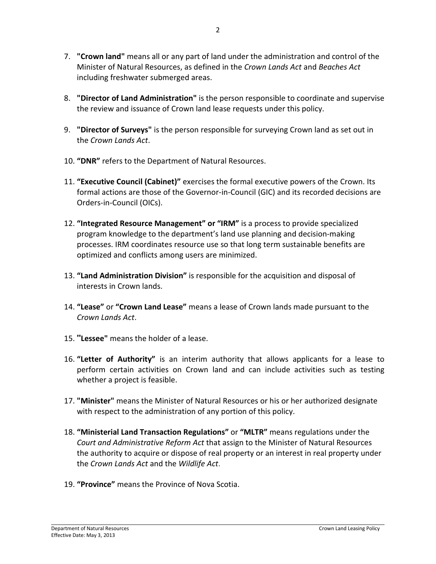- 7. "Crown land" means all or any part of land under the administration and control of the Minister of Natural Resources, as defined in the Crown Lands Act and Beaches Act including freshwater submerged areas.
- 8. "Director of Land Administration" is the person responsible to coordinate and supervise the review and issuance of Crown land lease requests under this policy.
- 9. "Director of Surveys" is the person responsible for surveying Crown land as set out in the Crown Lands Act.
- 10. "DNR" refers to the Department of Natural Resources.
- 11. "Executive Council (Cabinet)" exercises the formal executive powers of the Crown. Its formal actions are those of the Governor-in-Council (GIC) and its recorded decisions are Orders-in-Council (OICs).
- 12. "Integrated Resource Management" or "IRM" is a process to provide specialized program knowledge to the department's land use planning and decision-making processes. IRM coordinates resource use so that long term sustainable benefits are optimized and conflicts among users are minimized.
- 13. "Land Administration Division" is responsible for the acquisition and disposal of interests in Crown lands.
- 14. "Lease" or "Crown Land Lease" means a lease of Crown lands made pursuant to the Crown Lands Act.
- 15. **"**Lessee" means the holder of a lease.
- 16. "Letter of Authority" is an interim authority that allows applicants for a lease to perform certain activities on Crown land and can include activities such as testing whether a project is feasible.
- 17. "Minister" means the Minister of Natural Resources or his or her authorized designate with respect to the administration of any portion of this policy.
- 18. "Ministerial Land Transaction Regulations" or "MLTR" means regulations under the Court and Administrative Reform Act that assign to the Minister of Natural Resources the authority to acquire or dispose of real property or an interest in real property under the Crown Lands Act and the Wildlife Act.
- 19. "Province" means the Province of Nova Scotia.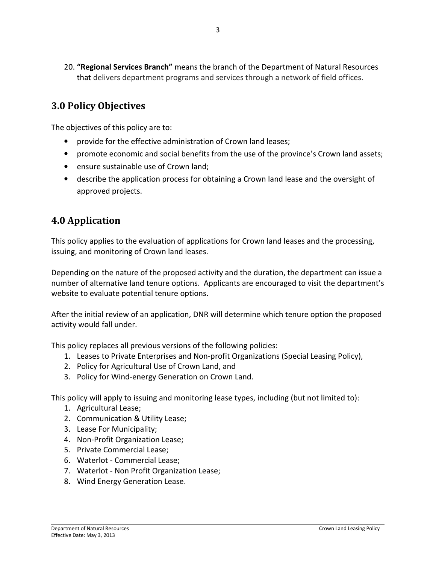20. "Regional Services Branch" means the branch of the Department of Natural Resources that delivers department programs and services through a network of field offices.

# 3.0 Policy Objectives

The objectives of this policy are to:

- provide for the effective administration of Crown land leases;
- promote economic and social benefits from the use of the province's Crown land assets;
- ensure sustainable use of Crown land;
- describe the application process for obtaining a Crown land lease and the oversight of approved projects.

# 4.0 Application

This policy applies to the evaluation of applications for Crown land leases and the processing, issuing, and monitoring of Crown land leases.

Depending on the nature of the proposed activity and the duration, the department can issue a number of alternative land tenure options. Applicants are encouraged to visit the department's website to evaluate potential tenure options.

After the initial review of an application, DNR will determine which tenure option the proposed activity would fall under.

This policy replaces all previous versions of the following policies:

- 1. Leases to Private Enterprises and Non-profit Organizations (Special Leasing Policy),
- 2. Policy for Agricultural Use of Crown Land, and
- 3. Policy for Wind-energy Generation on Crown Land.

This policy will apply to issuing and monitoring lease types, including (but not limited to):

- 1. Agricultural Lease;
- 2. Communication & Utility Lease;
- 3. Lease For Municipality;
- 4. Non-Profit Organization Lease;
- 5. Private Commercial Lease;
- 6. Waterlot Commercial Lease;
- 7. Waterlot Non Profit Organization Lease;
- 8. Wind Energy Generation Lease.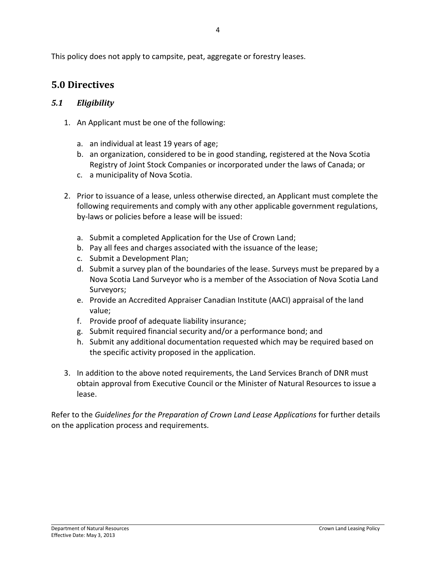This policy does not apply to campsite, peat, aggregate or forestry leases.

### 5.0 Directives

#### 5.1 Eligibility

- 1. An Applicant must be one of the following:
	- a. an individual at least 19 years of age;
	- b. an organization, considered to be in good standing, registered at the Nova Scotia Registry of Joint Stock Companies or incorporated under the laws of Canada; or
	- c. a municipality of Nova Scotia.
- 2. Prior to issuance of a lease, unless otherwise directed, an Applicant must complete the following requirements and comply with any other applicable government regulations, by-laws or policies before a lease will be issued:
	- a. Submit a completed Application for the Use of Crown Land;
	- b. Pay all fees and charges associated with the issuance of the lease;
	- c. Submit a Development Plan;
	- d. Submit a survey plan of the boundaries of the lease. Surveys must be prepared by a Nova Scotia Land Surveyor who is a member of the Association of Nova Scotia Land Surveyors;
	- e. Provide an Accredited Appraiser Canadian Institute (AACI) appraisal of the land value;
	- f. Provide proof of adequate liability insurance;
	- g. Submit required financial security and/or a performance bond; and
	- h. Submit any additional documentation requested which may be required based on the specific activity proposed in the application.
- 3. In addition to the above noted requirements, the Land Services Branch of DNR must obtain approval from Executive Council or the Minister of Natural Resources to issue a lease.

Refer to the Guidelines for the Preparation of Crown Land Lease Applications for further details on the application process and requirements.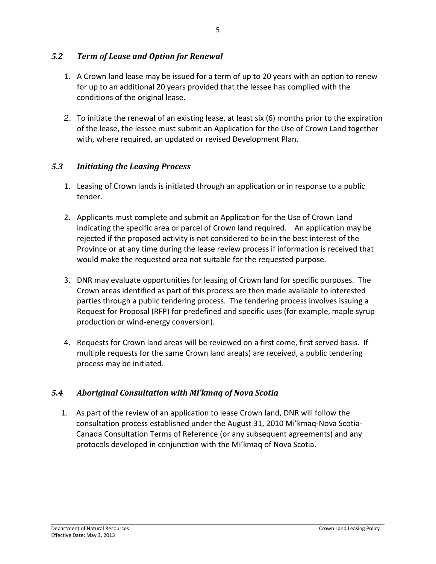#### 5.2 Term of Lease and Option for Renewal

- 1. A Crown land lease may be issued for a term of up to 20 years with an option to renew for up to an additional 20 years provided that the lessee has complied with the conditions of the original lease.
- 2. To initiate the renewal of an existing lease, at least six (6) months prior to the expiration of the lease, the lessee must submit an Application for the Use of Crown Land together with, where required, an updated or revised Development Plan.

#### 5.3 Initiating the Leasing Process

- 1. Leasing of Crown lands is initiated through an application or in response to a public tender.
- 2. Applicants must complete and submit an Application for the Use of Crown Land indicating the specific area or parcel of Crown land required. An application may be rejected if the proposed activity is not considered to be in the best interest of the Province or at any time during the lease review process if information is received that would make the requested area not suitable for the requested purpose.
- 3. DNR may evaluate opportunities for leasing of Crown land for specific purposes. The Crown areas identified as part of this process are then made available to interested parties through a public tendering process. The tendering process involves issuing a Request for Proposal (RFP) for predefined and specific uses (for example, maple syrup production or wind-energy conversion).
- 4. Requests for Crown land areas will be reviewed on a first come, first served basis. If multiple requests for the same Crown land area(s) are received, a public tendering process may be initiated.

#### 5.4 Aboriginal Consultation with Mi'kmaq of Nova Scotia

1. As part of the review of an application to lease Crown land, DNR will follow the consultation process established under the August 31, 2010 Mi'kmaq-Nova Scotia-Canada Consultation Terms of Reference (or any subsequent agreements) and any protocols developed in conjunction with the Mi'kmaq of Nova Scotia.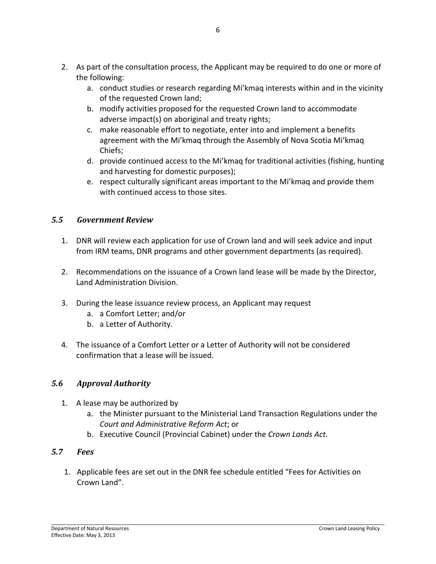- 2. As part of the consultation process, the Applicant may be required to do one or more of the following:
	- a. conduct studies or research regarding Mi'kmaq interests within and in the vicinity of the requested Crown land;
	- b. modify activities proposed for the requested Crown land to accommodate adverse impact(s) on aboriginal and treaty rights;
	- c. make reasonable effort to negotiate, enter into and implement a benefits agreement with the Mi'kmaq through the Assembly of Nova Scotia Mi'kmaq Chiefs;
	- d. provide continued access to the Mi'kmaq for traditional activities (fishing, hunting and harvesting for domestic purposes);
	- e. respect culturally significant areas important to the Mi'kmaq and provide them with continued access to those sites.

#### 5.5 Government Review

- 1. DNR will review each application for use of Crown land and will seek advice and input from IRM teams, DNR programs and other government departments (as required).
- 2. Recommendations on the issuance of a Crown land lease will be made by the Director, Land Administration Division.
- 3. During the lease issuance review process, an Applicant may request
	- a. a Comfort Letter; and/or
	- b. a Letter of Authority.
- 4. The issuance of a Comfort Letter or a Letter of Authority will not be considered confirmation that a lease will be issued.

#### 5.6 Approval Authority

- 1. A lease may be authorized by
	- a. the Minister pursuant to the Ministerial Land Transaction Regulations under the Court and Administrative Reform Act; or
	- b. Executive Council (Provincial Cabinet) under the Crown Lands Act.

#### 5.7 Fees

1. Applicable fees are set out in the DNR fee schedule entitled "Fees for Activities on Crown Land".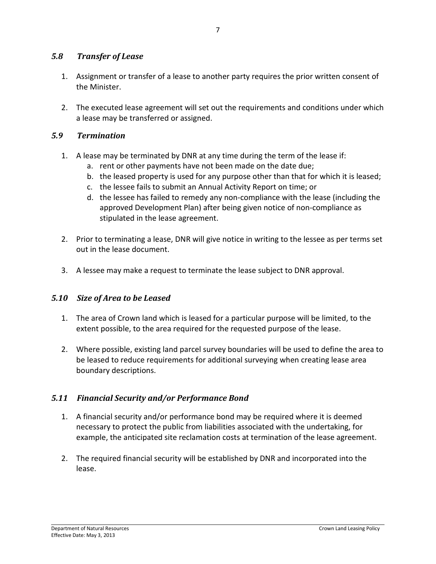#### 5.8 Transfer of Lease

- 1. Assignment or transfer of a lease to another party requires the prior written consent of the Minister.
- 2. The executed lease agreement will set out the requirements and conditions under which a lease may be transferred or assigned.

#### 5.9 Termination

- 1. A lease may be terminated by DNR at any time during the term of the lease if:
	- a. rent or other payments have not been made on the date due;
	- b. the leased property is used for any purpose other than that for which it is leased;
	- c. the lessee fails to submit an Annual Activity Report on time; or
	- d. the lessee has failed to remedy any non-compliance with the lease (including the approved Development Plan) after being given notice of non-compliance as stipulated in the lease agreement.
- 2. Prior to terminating a lease, DNR will give notice in writing to the lessee as per terms set out in the lease document.
- 3. A lessee may make a request to terminate the lease subject to DNR approval.

#### 5.10 Size of Area to be Leased

- 1. The area of Crown land which is leased for a particular purpose will be limited, to the extent possible, to the area required for the requested purpose of the lease.
- 2. Where possible, existing land parcel survey boundaries will be used to define the area to be leased to reduce requirements for additional surveying when creating lease area boundary descriptions.

#### 5.11 Financial Security and/or Performance Bond

- 1. A financial security and/or performance bond may be required where it is deemed necessary to protect the public from liabilities associated with the undertaking, for example, the anticipated site reclamation costs at termination of the lease agreement.
- 2. The required financial security will be established by DNR and incorporated into the lease.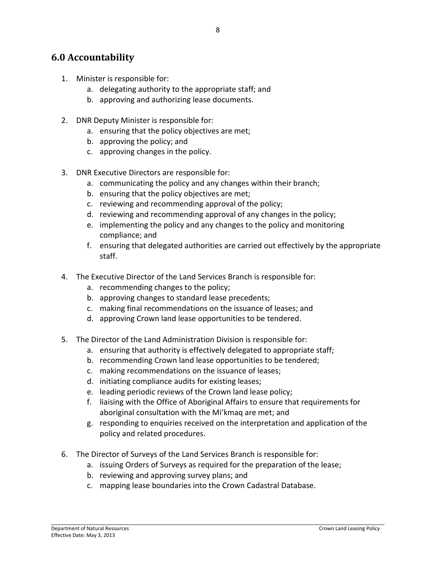### 6.0 Accountability

- 1. Minister is responsible for:
	- a. delegating authority to the appropriate staff; and
	- b. approving and authorizing lease documents.
- 2. DNR Deputy Minister is responsible for:
	- a. ensuring that the policy objectives are met;
	- b. approving the policy; and
	- c. approving changes in the policy.
- 3. DNR Executive Directors are responsible for:
	- a. communicating the policy and any changes within their branch;
	- b. ensuring that the policy objectives are met;
	- c. reviewing and recommending approval of the policy;
	- d. reviewing and recommending approval of any changes in the policy;
	- e. implementing the policy and any changes to the policy and monitoring compliance; and
	- f. ensuring that delegated authorities are carried out effectively by the appropriate staff.
- 4. The Executive Director of the Land Services Branch is responsible for:
	- a. recommending changes to the policy;
	- b. approving changes to standard lease precedents;
	- c. making final recommendations on the issuance of leases; and
	- d. approving Crown land lease opportunities to be tendered.
- 5. The Director of the Land Administration Division is responsible for:
	- a. ensuring that authority is effectively delegated to appropriate staff;
	- b. recommending Crown land lease opportunities to be tendered;
	- c. making recommendations on the issuance of leases;
	- d. initiating compliance audits for existing leases;
	- e. leading periodic reviews of the Crown land lease policy;
	- f. liaising with the Office of Aboriginal Affairs to ensure that requirements for aboriginal consultation with the Mi'kmaq are met; and
	- g. responding to enquiries received on the interpretation and application of the policy and related procedures.
- 6. The Director of Surveys of the Land Services Branch is responsible for:
	- a. issuing Orders of Surveys as required for the preparation of the lease;
	- b. reviewing and approving survey plans; and
	- c. mapping lease boundaries into the Crown Cadastral Database.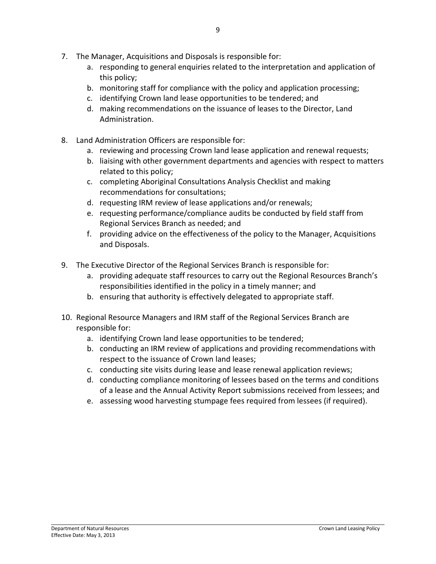- 7. The Manager, Acquisitions and Disposals is responsible for:
	- a. responding to general enquiries related to the interpretation and application of this policy;
	- b. monitoring staff for compliance with the policy and application processing;
	- c. identifying Crown land lease opportunities to be tendered; and
	- d. making recommendations on the issuance of leases to the Director, Land Administration.
- 8. Land Administration Officers are responsible for:
	- a. reviewing and processing Crown land lease application and renewal requests;
	- b. liaising with other government departments and agencies with respect to matters related to this policy;
	- c. completing Aboriginal Consultations Analysis Checklist and making recommendations for consultations;
	- d. requesting IRM review of lease applications and/or renewals;
	- e. requesting performance/compliance audits be conducted by field staff from Regional Services Branch as needed; and
	- f. providing advice on the effectiveness of the policy to the Manager, Acquisitions and Disposals.
- 9. The Executive Director of the Regional Services Branch is responsible for:
	- a. providing adequate staff resources to carry out the Regional Resources Branch's responsibilities identified in the policy in a timely manner; and
	- b. ensuring that authority is effectively delegated to appropriate staff.
- 10. Regional Resource Managers and IRM staff of the Regional Services Branch are responsible for:
	- a. identifying Crown land lease opportunities to be tendered;
	- b. conducting an IRM review of applications and providing recommendations with respect to the issuance of Crown land leases;
	- c. conducting site visits during lease and lease renewal application reviews;
	- d. conducting compliance monitoring of lessees based on the terms and conditions of a lease and the Annual Activity Report submissions received from lessees; and
	- e. assessing wood harvesting stumpage fees required from lessees (if required).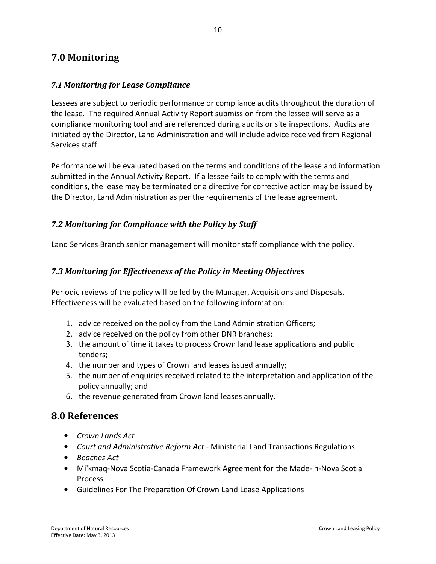# 7.0 Monitoring

#### 7.1 Monitoring for Lease Compliance

Lessees are subject to periodic performance or compliance audits throughout the duration of the lease. The required Annual Activity Report submission from the lessee will serve as a compliance monitoring tool and are referenced during audits or site inspections. Audits are initiated by the Director, Land Administration and will include advice received from Regional Services staff.

Performance will be evaluated based on the terms and conditions of the lease and information submitted in the Annual Activity Report. If a lessee fails to comply with the terms and conditions, the lease may be terminated or a directive for corrective action may be issued by the Director, Land Administration as per the requirements of the lease agreement.

#### 7.2 Monitoring for Compliance with the Policy by Staff

Land Services Branch senior management will monitor staff compliance with the policy.

#### 7.3 Monitoring for Effectiveness of the Policy in Meeting Objectives

Periodic reviews of the policy will be led by the Manager, Acquisitions and Disposals. Effectiveness will be evaluated based on the following information:

- 1. advice received on the policy from the Land Administration Officers;
- 2. advice received on the policy from other DNR branches;
- 3. the amount of time it takes to process Crown land lease applications and public tenders;
- 4. the number and types of Crown land leases issued annually;
- 5. the number of enquiries received related to the interpretation and application of the policy annually; and
- 6. the revenue generated from Crown land leases annually.

#### 8.0 References

- Crown Lands Act
- Court and Administrative Reform Act Ministerial Land Transactions Regulations
- Beaches Act
- Mi'kmaq-Nova Scotia-Canada Framework Agreement for the Made-in-Nova Scotia Process
- Guidelines For The Preparation Of Crown Land Lease Applications